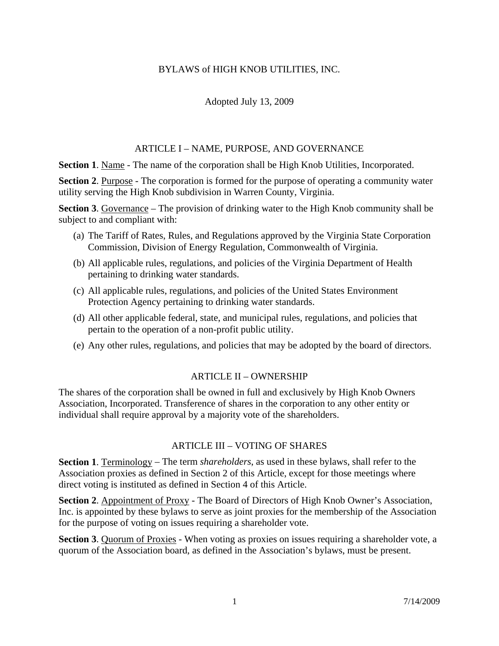# BYLAWS of HIGH KNOB UTILITIES, INC.

### Adopted July 13, 2009

#### ARTICLE I – NAME, PURPOSE, AND GOVERNANCE

**Section 1.** Name - The name of the corporation shall be High Knob Utilities, Incorporated.

**Section 2**. Purpose - The corporation is formed for the purpose of operating a community water utility serving the High Knob subdivision in Warren County, Virginia.

**Section 3**. Governance – The provision of drinking water to the High Knob community shall be subject to and compliant with:

- (a) The Tariff of Rates, Rules, and Regulations approved by the Virginia State Corporation Commission, Division of Energy Regulation, Commonwealth of Virginia.
- (b) All applicable rules, regulations, and policies of the Virginia Department of Health pertaining to drinking water standards.
- (c) All applicable rules, regulations, and policies of the United States Environment Protection Agency pertaining to drinking water standards.
- (d) All other applicable federal, state, and municipal rules, regulations, and policies that pertain to the operation of a non-profit public utility.
- (e) Any other rules, regulations, and policies that may be adopted by the board of directors.

#### ARTICLE II – OWNERSHIP

The shares of the corporation shall be owned in full and exclusively by High Knob Owners Association, Incorporated. Transference of shares in the corporation to any other entity or individual shall require approval by a majority vote of the shareholders.

#### ARTICLE III – VOTING OF SHARES

**Section 1**. Terminology – The term *shareholders*, as used in these bylaws, shall refer to the Association proxies as defined in Section 2 of this Article, except for those meetings where direct voting is instituted as defined in Section 4 of this Article.

**Section 2**. Appointment of Proxy - The Board of Directors of High Knob Owner's Association, Inc. is appointed by these bylaws to serve as joint proxies for the membership of the Association for the purpose of voting on issues requiring a shareholder vote.

**Section 3**. Quorum of Proxies - When voting as proxies on issues requiring a shareholder vote, a quorum of the Association board, as defined in the Association's bylaws, must be present.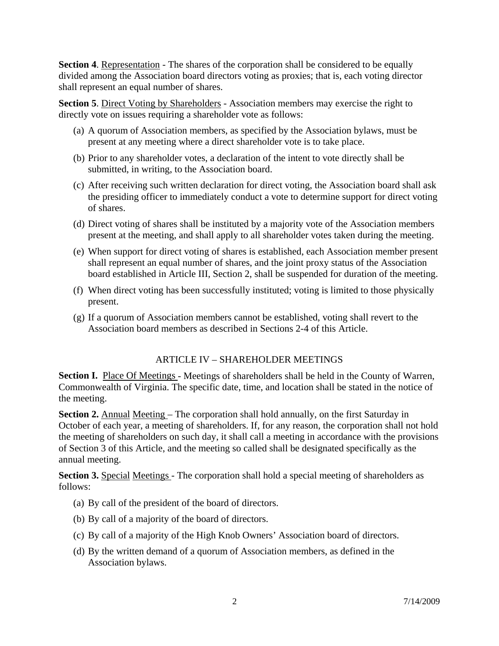**Section 4.** Representation - The shares of the corporation shall be considered to be equally divided among the Association board directors voting as proxies; that is, each voting director shall represent an equal number of shares.

**Section 5**. Direct Voting by Shareholders - Association members may exercise the right to directly vote on issues requiring a shareholder vote as follows:

- (a) A quorum of Association members, as specified by the Association bylaws, must be present at any meeting where a direct shareholder vote is to take place.
- (b) Prior to any shareholder votes, a declaration of the intent to vote directly shall be submitted, in writing, to the Association board.
- (c) After receiving such written declaration for direct voting, the Association board shall ask the presiding officer to immediately conduct a vote to determine support for direct voting of shares.
- (d) Direct voting of shares shall be instituted by a majority vote of the Association members present at the meeting, and shall apply to all shareholder votes taken during the meeting.
- (e) When support for direct voting of shares is established, each Association member present shall represent an equal number of shares, and the joint proxy status of the Association board established in Article III, Section 2, shall be suspended for duration of the meeting.
- (f) When direct voting has been successfully instituted; voting is limited to those physically present.
- (g) If a quorum of Association members cannot be established, voting shall revert to the Association board members as described in Sections 2-4 of this Article.

# ARTICLE IV – SHAREHOLDER MEETINGS

**Section I.** Place Of Meetings - Meetings of shareholders shall be held in the County of Warren, Commonwealth of Virginia. The specific date, time, and location shall be stated in the notice of the meeting.

**Section 2.** Annual Meeting – The corporation shall hold annually, on the first Saturday in October of each year, a meeting of shareholders. If, for any reason, the corporation shall not hold the meeting of shareholders on such day, it shall call a meeting in accordance with the provisions of Section 3 of this Article, and the meeting so called shall be designated specifically as the annual meeting.

**Section 3.** Special Meetings - The corporation shall hold a special meeting of shareholders as follows:

- (a) By call of the president of the board of directors.
- (b) By call of a majority of the board of directors.
- (c) By call of a majority of the High Knob Owners' Association board of directors.
- (d) By the written demand of a quorum of Association members, as defined in the Association bylaws.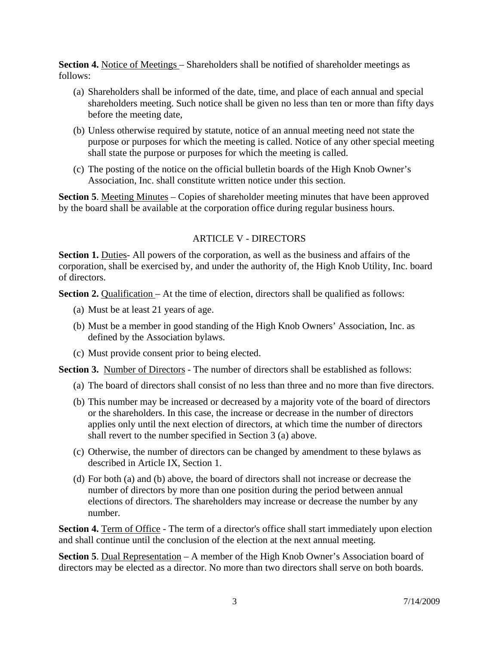**Section 4.** Notice of Meetings – Shareholders shall be notified of shareholder meetings as follows:

- (a) Shareholders shall be informed of the date, time, and place of each annual and special shareholders meeting. Such notice shall be given no less than ten or more than fifty days before the meeting date,
- (b) Unless otherwise required by statute, notice of an annual meeting need not state the purpose or purposes for which the meeting is called. Notice of any other special meeting shall state the purpose or purposes for which the meeting is called.
- (c) The posting of the notice on the official bulletin boards of the High Knob Owner's Association, Inc. shall constitute written notice under this section.

**Section 5.** Meeting Minutes – Copies of shareholder meeting minutes that have been approved by the board shall be available at the corporation office during regular business hours.

#### ARTICLE V - DIRECTORS

**Section 1.** Duties- All powers of the corporation, as well as the business and affairs of the corporation, shall be exercised by, and under the authority of, the High Knob Utility, Inc. board of directors.

**Section 2.** Qualification – At the time of election, directors shall be qualified as follows:

- (a) Must be at least 21 years of age.
- (b) Must be a member in good standing of the High Knob Owners' Association, Inc. as defined by the Association bylaws.
- (c) Must provide consent prior to being elected.

**Section 3.** Number of Directors - The number of directors shall be established as follows:

- (a) The board of directors shall consist of no less than three and no more than five directors.
- (b) This number may be increased or decreased by a majority vote of the board of directors or the shareholders. In this case, the increase or decrease in the number of directors applies only until the next election of directors, at which time the number of directors shall revert to the number specified in Section 3 (a) above.
- (c) Otherwise, the number of directors can be changed by amendment to these bylaws as described in Article IX, Section 1.
- (d) For both (a) and (b) above, the board of directors shall not increase or decrease the number of directors by more than one position during the period between annual elections of directors. The shareholders may increase or decrease the number by any number.

**Section 4.** Term of Office - The term of a director's office shall start immediately upon election and shall continue until the conclusion of the election at the next annual meeting.

**Section 5**. Dual Representation – A member of the High Knob Owner's Association board of directors may be elected as a director. No more than two directors shall serve on both boards.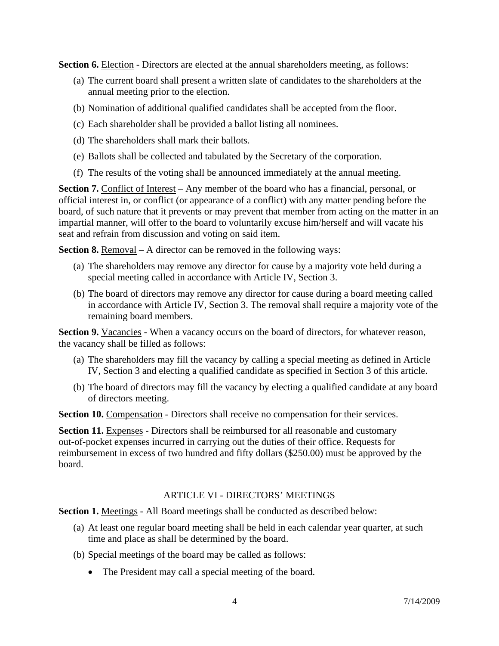**Section 6.** Election - Directors are elected at the annual shareholders meeting, as follows:

- (a) The current board shall present a written slate of candidates to the shareholders at the annual meeting prior to the election.
- (b) Nomination of additional qualified candidates shall be accepted from the floor.
- (c) Each shareholder shall be provided a ballot listing all nominees.
- (d) The shareholders shall mark their ballots.
- (e) Ballots shall be collected and tabulated by the Secretary of the corporation.
- (f) The results of the voting shall be announced immediately at the annual meeting.

**Section 7.** Conflict of Interest – Any member of the board who has a financial, personal, or official interest in, or conflict (or appearance of a conflict) with any matter pending before the board, of such nature that it prevents or may prevent that member from acting on the matter in an impartial manner, will offer to the board to voluntarily excuse him/herself and will vacate his seat and refrain from discussion and voting on said item.

**Section 8.** Removal – A director can be removed in the following ways:

- (a) The shareholders may remove any director for cause by a majority vote held during a special meeting called in accordance with Article IV, Section 3.
- (b) The board of directors may remove any director for cause during a board meeting called in accordance with Article IV, Section 3. The removal shall require a majority vote of the remaining board members.

**Section 9.** Vacancies - When a vacancy occurs on the board of directors, for whatever reason, the vacancy shall be filled as follows:

- (a) The shareholders may fill the vacancy by calling a special meeting as defined in Article IV, Section 3 and electing a qualified candidate as specified in Section 3 of this article.
- (b) The board of directors may fill the vacancy by electing a qualified candidate at any board of directors meeting.

**Section 10.** Compensation - Directors shall receive no compensation for their services.

**Section 11.** Expenses - Directors shall be reimbursed for all reasonable and customary out-of-pocket expenses incurred in carrying out the duties of their office. Requests for reimbursement in excess of two hundred and fifty dollars (\$250.00) must be approved by the board.

# ARTICLE VI - DIRECTORS' MEETINGS

**Section 1.** Meetings - All Board meetings shall be conducted as described below:

- (a) At least one regular board meeting shall be held in each calendar year quarter, at such time and place as shall be determined by the board.
- (b) Special meetings of the board may be called as follows:
	- The President may call a special meeting of the board.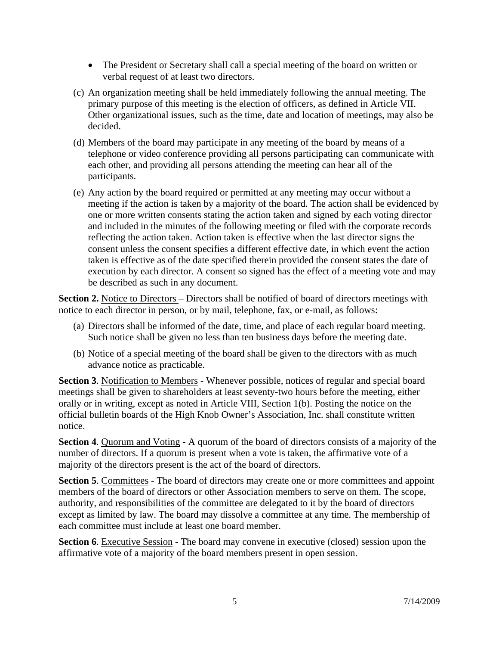- The President or Secretary shall call a special meeting of the board on written or verbal request of at least two directors.
- (c) An organization meeting shall be held immediately following the annual meeting. The primary purpose of this meeting is the election of officers, as defined in Article VII. Other organizational issues, such as the time, date and location of meetings, may also be decided.
- (d) Members of the board may participate in any meeting of the board by means of a telephone or video conference providing all persons participating can communicate with each other, and providing all persons attending the meeting can hear all of the participants.
- (e) Any action by the board required or permitted at any meeting may occur without a meeting if the action is taken by a majority of the board. The action shall be evidenced by one or more written consents stating the action taken and signed by each voting director and included in the minutes of the following meeting or filed with the corporate records reflecting the action taken. Action taken is effective when the last director signs the consent unless the consent specifies a different effective date, in which event the action taken is effective as of the date specified therein provided the consent states the date of execution by each director. A consent so signed has the effect of a meeting vote and may be described as such in any document.

**Section 2.** Notice to Directors – Directors shall be notified of board of directors meetings with notice to each director in person, or by mail, telephone, fax, or e-mail, as follows:

- (a) Directors shall be informed of the date, time, and place of each regular board meeting. Such notice shall be given no less than ten business days before the meeting date.
- (b) Notice of a special meeting of the board shall be given to the directors with as much advance notice as practicable.

**Section 3**. Notification to Members - Whenever possible, notices of regular and special board meetings shall be given to shareholders at least seventy-two hours before the meeting, either orally or in writing, except as noted in Article VIII, Section 1(b). Posting the notice on the official bulletin boards of the High Knob Owner's Association, Inc. shall constitute written notice.

**Section 4.** Quorum and Voting - A quorum of the board of directors consists of a majority of the number of directors. If a quorum is present when a vote is taken, the affirmative vote of a majority of the directors present is the act of the board of directors.

**Section 5.** Committees - The board of directors may create one or more committees and appoint members of the board of directors or other Association members to serve on them. The scope, authority, and responsibilities of the committee are delegated to it by the board of directors except as limited by law. The board may dissolve a committee at any time. The membership of each committee must include at least one board member.

**Section 6.** Executive Session - The board may convene in executive (closed) session upon the affirmative vote of a majority of the board members present in open session.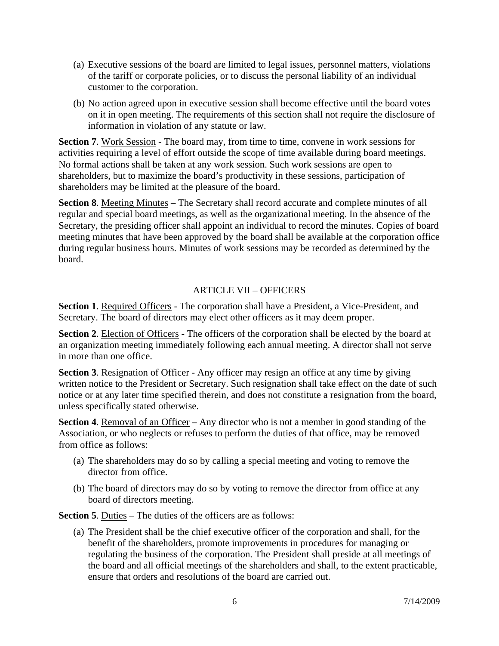- (a) Executive sessions of the board are limited to legal issues, personnel matters, violations of the tariff or corporate policies, or to discuss the personal liability of an individual customer to the corporation.
- (b) No action agreed upon in executive session shall become effective until the board votes on it in open meeting. The requirements of this section shall not require the disclosure of information in violation of any statute or law.

**Section 7**. Work Session - The board may, from time to time, convene in work sessions for activities requiring a level of effort outside the scope of time available during board meetings. No formal actions shall be taken at any work session. Such work sessions are open to shareholders, but to maximize the board's productivity in these sessions, participation of shareholders may be limited at the pleasure of the board.

**Section 8**. Meeting Minutes – The Secretary shall record accurate and complete minutes of all regular and special board meetings, as well as the organizational meeting. In the absence of the Secretary, the presiding officer shall appoint an individual to record the minutes. Copies of board meeting minutes that have been approved by the board shall be available at the corporation office during regular business hours. Minutes of work sessions may be recorded as determined by the board.

# ARTICLE VII – OFFICERS

**Section 1**. Required Officers - The corporation shall have a President, a Vice-President, and Secretary. The board of directors may elect other officers as it may deem proper.

**Section 2.** Election of Officers - The officers of the corporation shall be elected by the board at an organization meeting immediately following each annual meeting. A director shall not serve in more than one office.

**Section 3**. Resignation of Officer - Any officer may resign an office at any time by giving written notice to the President or Secretary. Such resignation shall take effect on the date of such notice or at any later time specified therein, and does not constitute a resignation from the board, unless specifically stated otherwise.

**Section 4.** Removal of an Officer – Any director who is not a member in good standing of the Association, or who neglects or refuses to perform the duties of that office, may be removed from office as follows:

- (a) The shareholders may do so by calling a special meeting and voting to remove the director from office.
- (b) The board of directors may do so by voting to remove the director from office at any board of directors meeting.

**Section 5**. Duties – The duties of the officers are as follows:

(a) The President shall be the chief executive officer of the corporation and shall, for the benefit of the shareholders, promote improvements in procedures for managing or regulating the business of the corporation. The President shall preside at all meetings of the board and all official meetings of the shareholders and shall, to the extent practicable, ensure that orders and resolutions of the board are carried out.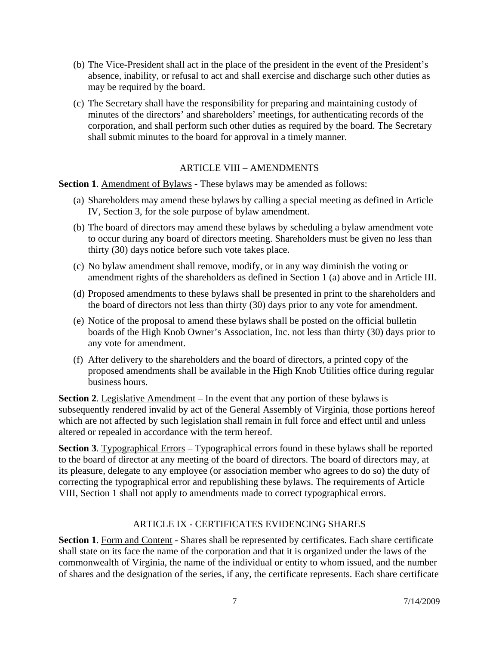- (b) The Vice-President shall act in the place of the president in the event of the President's absence, inability, or refusal to act and shall exercise and discharge such other duties as may be required by the board.
- (c) The Secretary shall have the responsibility for preparing and maintaining custody of minutes of the directors' and shareholders' meetings, for authenticating records of the corporation, and shall perform such other duties as required by the board. The Secretary shall submit minutes to the board for approval in a timely manner.

### ARTICLE VIII – AMENDMENTS

**Section 1.** Amendment of Bylaws - These bylaws may be amended as follows:

- (a) Shareholders may amend these bylaws by calling a special meeting as defined in Article IV, Section 3, for the sole purpose of bylaw amendment.
- (b) The board of directors may amend these bylaws by scheduling a bylaw amendment vote to occur during any board of directors meeting. Shareholders must be given no less than thirty (30) days notice before such vote takes place.
- (c) No bylaw amendment shall remove, modify, or in any way diminish the voting or amendment rights of the shareholders as defined in Section 1 (a) above and in Article III.
- (d) Proposed amendments to these bylaws shall be presented in print to the shareholders and the board of directors not less than thirty (30) days prior to any vote for amendment.
- (e) Notice of the proposal to amend these bylaws shall be posted on the official bulletin boards of the High Knob Owner's Association, Inc. not less than thirty (30) days prior to any vote for amendment.
- (f) After delivery to the shareholders and the board of directors, a printed copy of the proposed amendments shall be available in the High Knob Utilities office during regular business hours.

**Section 2.** Legislative Amendment – In the event that any portion of these bylaws is subsequently rendered invalid by act of the General Assembly of Virginia, those portions hereof which are not affected by such legislation shall remain in full force and effect until and unless altered or repealed in accordance with the term hereof.

**Section 3**. Typographical Errors – Typographical errors found in these bylaws shall be reported to the board of director at any meeting of the board of directors. The board of directors may, at its pleasure, delegate to any employee (or association member who agrees to do so) the duty of correcting the typographical error and republishing these bylaws. The requirements of Article VIII, Section 1 shall not apply to amendments made to correct typographical errors.

#### ARTICLE IX - CERTIFICATES EVIDENCING SHARES

**Section 1**. Form and Content - Shares shall be represented by certificates. Each share certificate shall state on its face the name of the corporation and that it is organized under the laws of the commonwealth of Virginia, the name of the individual or entity to whom issued, and the number of shares and the designation of the series, if any, the certificate represents. Each share certificate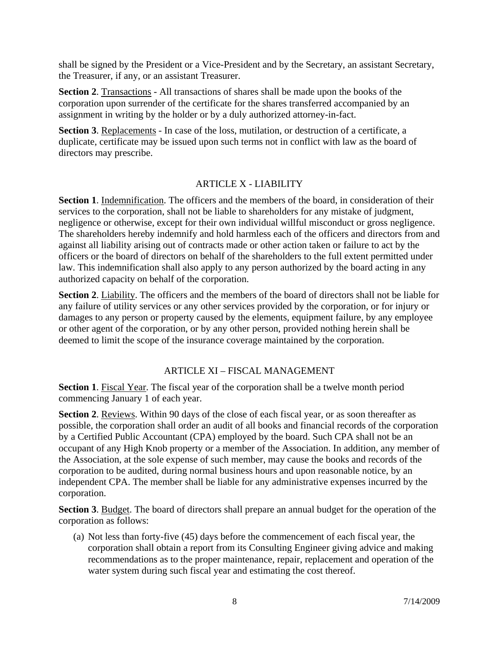shall be signed by the President or a Vice-President and by the Secretary, an assistant Secretary, the Treasurer, if any, or an assistant Treasurer.

**Section 2**. Transactions - All transactions of shares shall be made upon the books of the corporation upon surrender of the certificate for the shares transferred accompanied by an assignment in writing by the holder or by a duly authorized attorney-in-fact.

Section 3. Replacements - In case of the loss, mutilation, or destruction of a certificate, a duplicate, certificate may be issued upon such terms not in conflict with law as the board of directors may prescribe.

# ARTICLE X - LIABILITY

**Section 1.** Indemnification. The officers and the members of the board, in consideration of their services to the corporation, shall not be liable to shareholders for any mistake of judgment, negligence or otherwise, except for their own individual willful misconduct or gross negligence. The shareholders hereby indemnify and hold harmless each of the officers and directors from and against all liability arising out of contracts made or other action taken or failure to act by the officers or the board of directors on behalf of the shareholders to the full extent permitted under law. This indemnification shall also apply to any person authorized by the board acting in any authorized capacity on behalf of the corporation.

**Section 2.** Liability. The officers and the members of the board of directors shall not be liable for any failure of utility services or any other services provided by the corporation, or for injury or damages to any person or property caused by the elements, equipment failure, by any employee or other agent of the corporation, or by any other person, provided nothing herein shall be deemed to limit the scope of the insurance coverage maintained by the corporation.

# ARTICLE XI – FISCAL MANAGEMENT

**Section 1**. Fiscal Year. The fiscal year of the corporation shall be a twelve month period commencing January 1 of each year.

**Section 2**. Reviews. Within 90 days of the close of each fiscal year, or as soon thereafter as possible, the corporation shall order an audit of all books and financial records of the corporation by a Certified Public Accountant (CPA) employed by the board. Such CPA shall not be an occupant of any High Knob property or a member of the Association. In addition, any member of the Association, at the sole expense of such member, may cause the books and records of the corporation to be audited, during normal business hours and upon reasonable notice, by an independent CPA. The member shall be liable for any administrative expenses incurred by the corporation.

**Section 3**. Budget. The board of directors shall prepare an annual budget for the operation of the corporation as follows:

(a) Not less than forty-five (45) days before the commencement of each fiscal year, the corporation shall obtain a report from its Consulting Engineer giving advice and making recommendations as to the proper maintenance, repair, replacement and operation of the water system during such fiscal year and estimating the cost thereof.